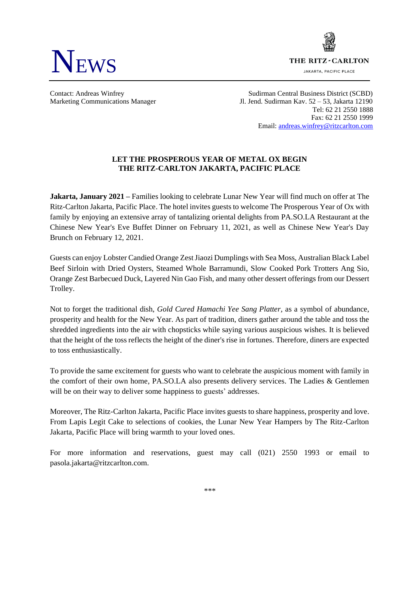

THE RITZ - CARLTON **JAKARTA, PACIFIC PLACE** 

Contact: Andreas Winfrey Sudirman Central Business District (SCBD) Marketing Communications Manager Jl. Jend. Sudirman Kav. 52 – 53, Jakarta 12190 Tel: 62 21 2550 1888 Fax: 62 21 2550 1999 Email: [andreas.winfrey@ritzcarlton.com](mailto:andreas.winfrey@ritzcarlton.com)

# **LET THE PROSPEROUS YEAR OF METAL OX BEGIN THE RITZ-CARLTON JAKARTA, PACIFIC PLACE**

**Jakarta, January 2021 –** Families looking to celebrate Lunar New Year will find much on offer at The Ritz-Carlton Jakarta, Pacific Place. The hotel invites guests to welcome The Prosperous Year of Ox with family by enjoying an extensive array of tantalizing oriental delights from PA.SO.LA Restaurant at the Chinese New Year's Eve Buffet Dinner on February 11, 2021, as well as Chinese New Year's Day Brunch on February 12, 2021.

Guests can enjoy Lobster Candied Orange Zest Jiaozi Dumplings with Sea Moss, Australian Black Label Beef Sirloin with Dried Oysters, Steamed Whole Barramundi, Slow Cooked Pork Trotters Ang Sio, Orange Zest Barbecued Duck, Layered Nin Gao Fish, and many other dessert offerings from our Dessert Trolley.

Not to forget the traditional dish, *Gold Cured Hamachi Yee Sang Platter,* as a symbol of abundance, prosperity and health for the New Year. As part of tradition, diners gather around the table and toss the shredded ingredients into the air with chopsticks while saying various auspicious wishes. It is believed that the height of the toss reflects the height of the diner's rise in fortunes. Therefore, diners are expected to toss enthusiastically.

To provide the same excitement for guests who want to celebrate the auspicious moment with family in the comfort of their own home, PA.SO.LA also presents delivery services. The Ladies & Gentlemen will be on their way to deliver some happiness to guests' addresses.

Moreover, The Ritz-Carlton Jakarta, Pacific Place invites guests to share happiness, prosperity and love. From Lapis Legit Cake to selections of cookies, the Lunar New Year Hampers by The Ritz-Carlton Jakarta, Pacific Place will bring warmth to your loved ones.

For more information and reservations, guest may call (021) 2550 1993 or email to pasola.jakarta@ritzcarlton.com.

*\*\*\**